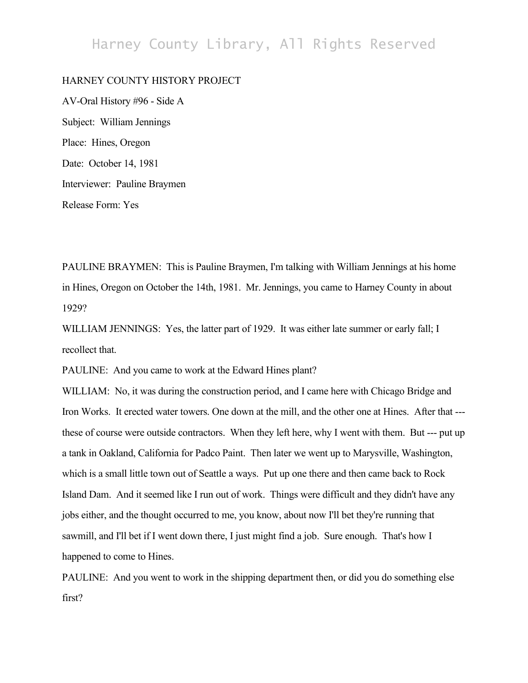## Harney County Library, All Rights Reserved

## HARNEY COUNTY HISTORY PROJECT

AV-Oral History #96 - Side A Subject: William Jennings Place: Hines, Oregon Date: October 14, 1981 Interviewer: Pauline Braymen Release Form: Yes

PAULINE BRAYMEN: This is Pauline Braymen, I'm talking with William Jennings at his home in Hines, Oregon on October the 14th, 1981. Mr. Jennings, you came to Harney County in about 1929?

WILLIAM JENNINGS: Yes, the latter part of 1929. It was either late summer or early fall; I recollect that.

PAULINE: And you came to work at the Edward Hines plant?

WILLIAM: No, it was during the construction period, and I came here with Chicago Bridge and Iron Works. It erected water towers. One down at the mill, and the other one at Hines. After that -- these of course were outside contractors. When they left here, why I went with them. But --- put up a tank in Oakland, California for Padco Paint. Then later we went up to Marysville, Washington, which is a small little town out of Seattle a ways. Put up one there and then came back to Rock Island Dam. And it seemed like I run out of work. Things were difficult and they didn't have any jobs either, and the thought occurred to me, you know, about now I'll bet they're running that sawmill, and I'll bet if I went down there, I just might find a job. Sure enough. That's how I happened to come to Hines.

PAULINE: And you went to work in the shipping department then, or did you do something else first?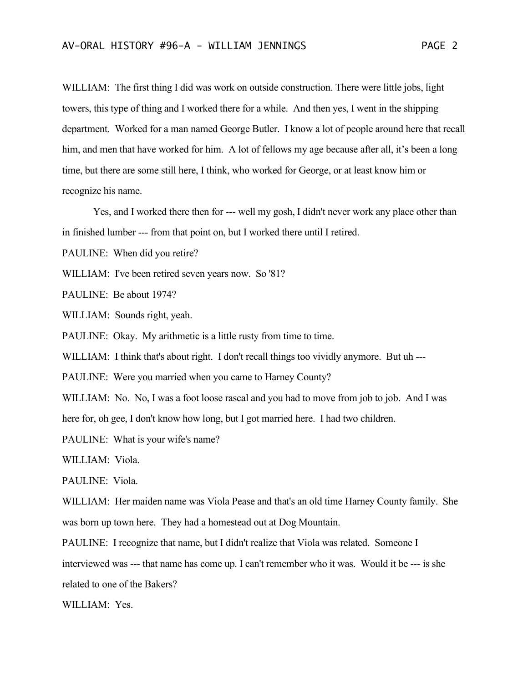WILLIAM: The first thing I did was work on outside construction. There were little jobs, light towers, this type of thing and I worked there for a while. And then yes, I went in the shipping department. Worked for a man named George Butler. I know a lot of people around here that recall him, and men that have worked for him. A lot of fellows my age because after all, it's been a long time, but there are some still here, I think, who worked for George, or at least know him or recognize his name.

Yes, and I worked there then for --- well my gosh, I didn't never work any place other than in finished lumber --- from that point on, but I worked there until I retired.

PAULINE: When did you retire?

WILLIAM: I've been retired seven years now. So '81?

PAULINE: Be about 1974?

WILLIAM: Sounds right, yeah.

PAULINE: Okay. My arithmetic is a little rusty from time to time.

WILLIAM: I think that's about right. I don't recall things too vividly anymore. But uh ---

PAULINE: Were you married when you came to Harney County?

WILLIAM: No. No, I was a foot loose rascal and you had to move from job to job. And I was

here for, oh gee, I don't know how long, but I got married here. I had two children.

PAULINE: What is your wife's name?

WILLIAM: Viola.

PAULINE: Viola.

WILLIAM: Her maiden name was Viola Pease and that's an old time Harney County family. She was born up town here. They had a homestead out at Dog Mountain.

PAULINE: I recognize that name, but I didn't realize that Viola was related. Someone I interviewed was --- that name has come up. I can't remember who it was. Would it be --- is she

related to one of the Bakers?

WILLIAM: Yes.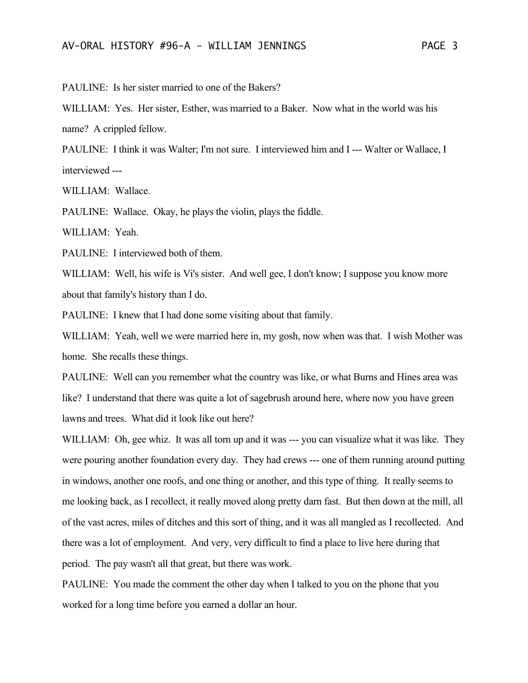PAULINE: Is her sister married to one of the Bakers?

WILLIAM: Yes. Her sister, Esther, was married to a Baker. Now what in the world was his name? A crippled fellow.

PAULINE: I think it was Walter; I'm not sure. I interviewed him and I --- Walter or Wallace, I interviewed ---

WILLIAM: Wallace.

PAULINE: Wallace. Okay, he plays the violin, plays the fiddle.

WILLIAM: Yeah.

PAULINE: I interviewed both of them.

WILLIAM: Well, his wife is Vi's sister. And well gee, I don't know; I suppose you know more about that family's history than I do.

PAULINE: I knew that I had done some visiting about that family.

WILLIAM: Yeah, well we were married here in, my gosh, now when was that. I wish Mother was home. She recalls these things.

PAULINE: Well can you remember what the country was like, or what Burns and Hines area was like? I understand that there was quite a lot of sagebrush around here, where now you have green lawns and trees. What did it look like out here?

WILLIAM: Oh, gee whiz. It was all torn up and it was --- you can visualize what it was like. They were pouring another foundation every day. They had crews --- one of them running around putting in windows, another one roofs, and one thing or another, and this type of thing. It really seems to me looking back, as I recollect, it really moved along pretty darn fast. But then down at the mill, all of the vast acres, miles of ditches and this sort of thing, and it was all mangled as I recollected. And there was a lot of employment. And very, very difficult to find a place to live here during that period. The pay wasn't all that great, but there was work.

PAULINE: You made the comment the other day when I talked to you on the phone that you worked for a long time before you earned a dollar an hour.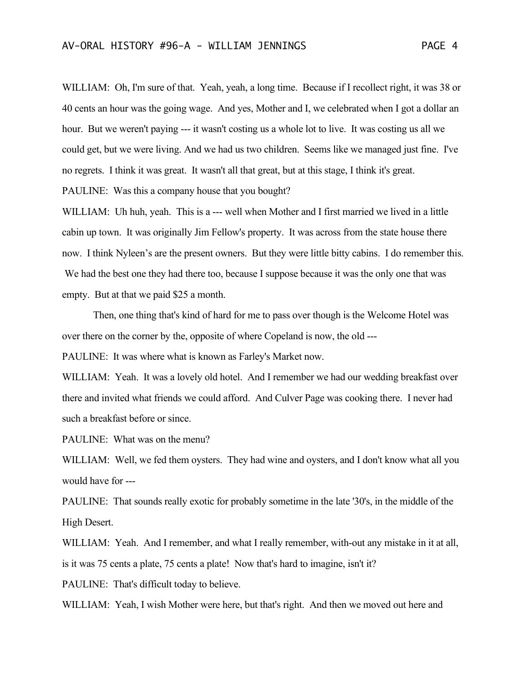WILLIAM: Oh, I'm sure of that. Yeah, yeah, a long time. Because if I recollect right, it was 38 or 40 cents an hour was the going wage. And yes, Mother and I, we celebrated when I got a dollar an hour. But we weren't paying --- it wasn't costing us a whole lot to live. It was costing us all we could get, but we were living. And we had us two children. Seems like we managed just fine. I've no regrets. I think it was great. It wasn't all that great, but at this stage, I think it's great. PAULINE: Was this a company house that you bought?

WILLIAM: Uh huh, yeah. This is a --- well when Mother and I first married we lived in a little cabin up town. It was originally Jim Fellow's property. It was across from the state house there now. I think Nyleen's are the present owners. But they were little bitty cabins. I do remember this. We had the best one they had there too, because I suppose because it was the only one that was empty. But at that we paid \$25 a month.

Then, one thing that's kind of hard for me to pass over though is the Welcome Hotel was over there on the corner by the, opposite of where Copeland is now, the old ---

PAULINE: It was where what is known as Farley's Market now.

WILLIAM: Yeah. It was a lovely old hotel. And I remember we had our wedding breakfast over there and invited what friends we could afford. And Culver Page was cooking there. I never had such a breakfast before or since.

PAULINE: What was on the menu?

WILLIAM: Well, we fed them oysters. They had wine and oysters, and I don't know what all you would have for ---

PAULINE: That sounds really exotic for probably sometime in the late '30's, in the middle of the High Desert.

WILLIAM: Yeah. And I remember, and what I really remember, with-out any mistake in it at all, is it was 75 cents a plate, 75 cents a plate! Now that's hard to imagine, isn't it?

PAULINE: That's difficult today to believe.

WILLIAM: Yeah, I wish Mother were here, but that's right. And then we moved out here and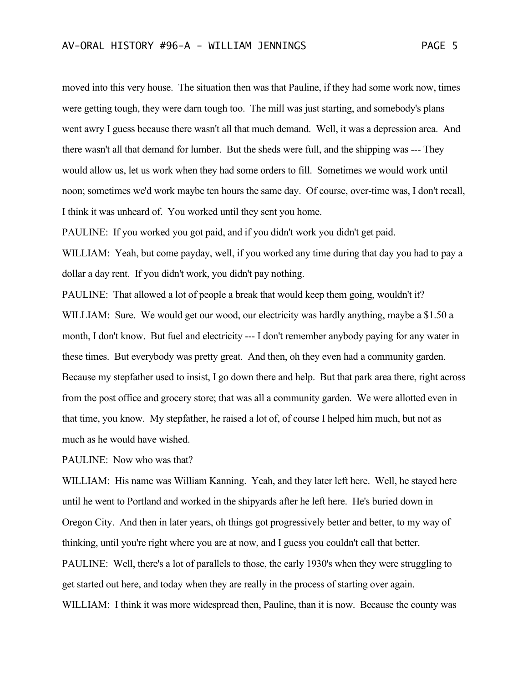moved into this very house. The situation then was that Pauline, if they had some work now, times were getting tough, they were darn tough too. The mill was just starting, and somebody's plans went awry I guess because there wasn't all that much demand. Well, it was a depression area. And there wasn't all that demand for lumber. But the sheds were full, and the shipping was --- They would allow us, let us work when they had some orders to fill. Sometimes we would work until noon; sometimes we'd work maybe ten hours the same day. Of course, over-time was, I don't recall, I think it was unheard of. You worked until they sent you home.

PAULINE: If you worked you got paid, and if you didn't work you didn't get paid.

WILLIAM: Yeah, but come payday, well, if you worked any time during that day you had to pay a dollar a day rent. If you didn't work, you didn't pay nothing.

PAULINE: That allowed a lot of people a break that would keep them going, wouldn't it? WILLIAM: Sure. We would get our wood, our electricity was hardly anything, maybe a \$1.50 a month, I don't know. But fuel and electricity --- I don't remember anybody paying for any water in these times. But everybody was pretty great. And then, oh they even had a community garden. Because my stepfather used to insist, I go down there and help. But that park area there, right across from the post office and grocery store; that was all a community garden. We were allotted even in that time, you know. My stepfather, he raised a lot of, of course I helped him much, but not as much as he would have wished.

PAULINE: Now who was that?

WILLIAM: His name was William Kanning. Yeah, and they later left here. Well, he stayed here until he went to Portland and worked in the shipyards after he left here. He's buried down in Oregon City. And then in later years, oh things got progressively better and better, to my way of thinking, until you're right where you are at now, and I guess you couldn't call that better. PAULINE: Well, there's a lot of parallels to those, the early 1930's when they were struggling to get started out here, and today when they are really in the process of starting over again. WILLIAM: I think it was more widespread then, Pauline, than it is now. Because the county was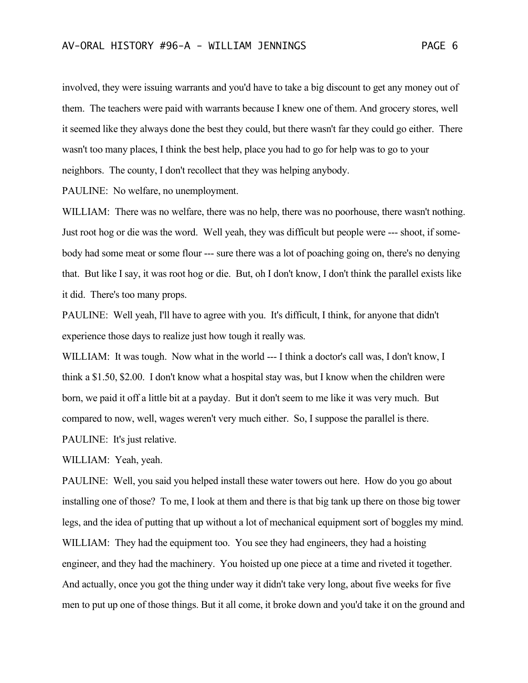involved, they were issuing warrants and you'd have to take a big discount to get any money out of them. The teachers were paid with warrants because I knew one of them. And grocery stores, well it seemed like they always done the best they could, but there wasn't far they could go either. There wasn't too many places, I think the best help, place you had to go for help was to go to your neighbors. The county, I don't recollect that they was helping anybody.

PAULINE: No welfare, no unemployment.

WILLIAM: There was no welfare, there was no help, there was no poorhouse, there wasn't nothing. Just root hog or die was the word. Well yeah, they was difficult but people were --- shoot, if somebody had some meat or some flour --- sure there was a lot of poaching going on, there's no denying that. But like I say, it was root hog or die. But, oh I don't know, I don't think the parallel exists like it did. There's too many props.

PAULINE: Well yeah, I'll have to agree with you. It's difficult, I think, for anyone that didn't experience those days to realize just how tough it really was.

WILLIAM: It was tough. Now what in the world --- I think a doctor's call was, I don't know, I think a \$1.50, \$2.00. I don't know what a hospital stay was, but I know when the children were born, we paid it off a little bit at a payday. But it don't seem to me like it was very much. But compared to now, well, wages weren't very much either. So, I suppose the parallel is there. PAULINE: It's just relative.

WILLIAM: Yeah, yeah.

PAULINE: Well, you said you helped install these water towers out here. How do you go about installing one of those? To me, I look at them and there is that big tank up there on those big tower legs, and the idea of putting that up without a lot of mechanical equipment sort of boggles my mind. WILLIAM: They had the equipment too. You see they had engineers, they had a hoisting engineer, and they had the machinery. You hoisted up one piece at a time and riveted it together. And actually, once you got the thing under way it didn't take very long, about five weeks for five men to put up one of those things. But it all come, it broke down and you'd take it on the ground and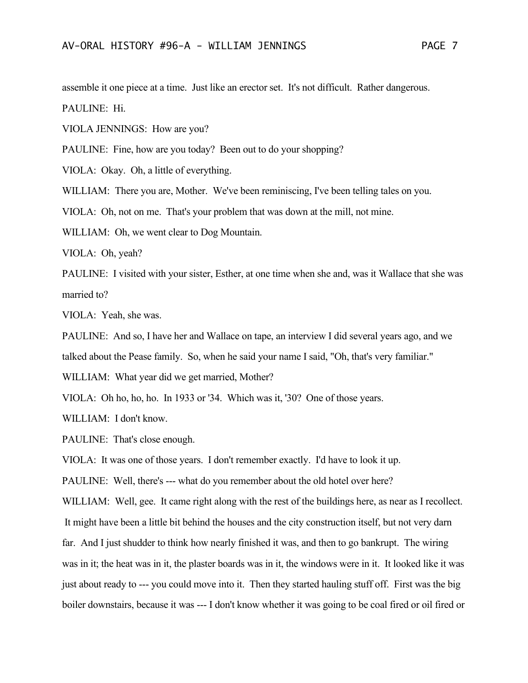assemble it one piece at a time. Just like an erector set. It's not difficult. Rather dangerous. PAULINE: Hi.

VIOLA JENNINGS: How are you?

PAULINE: Fine, how are you today? Been out to do your shopping?

VIOLA: Okay. Oh, a little of everything.

WILLIAM: There you are, Mother. We've been reminiscing, I've been telling tales on you.

VIOLA: Oh, not on me. That's your problem that was down at the mill, not mine.

WILLIAM: Oh, we went clear to Dog Mountain.

VIOLA: Oh, yeah?

PAULINE: I visited with your sister, Esther, at one time when she and, was it Wallace that she was married to?

VIOLA: Yeah, she was.

PAULINE: And so, I have her and Wallace on tape, an interview I did several years ago, and we talked about the Pease family. So, when he said your name I said, "Oh, that's very familiar."

WILLIAM: What year did we get married, Mother?

VIOLA: Oh ho, ho, ho. In 1933 or '34. Which was it, '30? One of those years.

WILLIAM: I don't know.

PAULINE: That's close enough.

VIOLA: It was one of those years. I don't remember exactly. I'd have to look it up.

PAULINE: Well, there's --- what do you remember about the old hotel over here?

WILLIAM: Well, gee. It came right along with the rest of the buildings here, as near as I recollect.

It might have been a little bit behind the houses and the city construction itself, but not very darn

far. And I just shudder to think how nearly finished it was, and then to go bankrupt. The wiring

was in it; the heat was in it, the plaster boards was in it, the windows were in it. It looked like it was just about ready to --- you could move into it. Then they started hauling stuff off. First was the big boiler downstairs, because it was --- I don't know whether it was going to be coal fired or oil fired or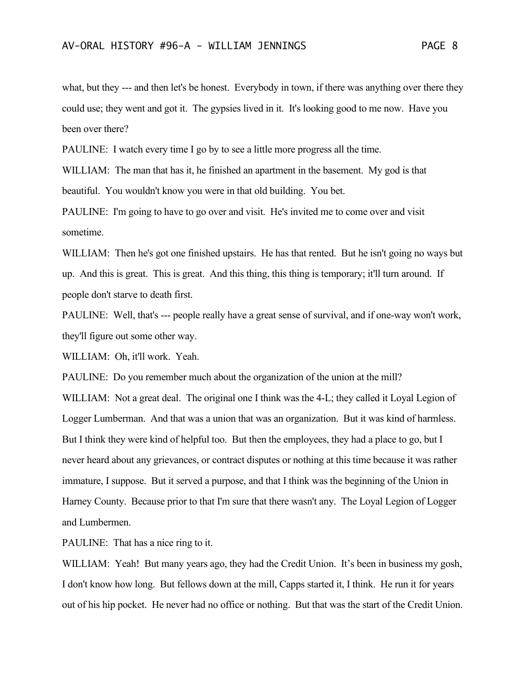what, but they --- and then let's be honest. Everybody in town, if there was anything over there they could use; they went and got it. The gypsies lived in it. It's looking good to me now. Have you been over there?

PAULINE: I watch every time I go by to see a little more progress all the time.

WILLIAM: The man that has it, he finished an apartment in the basement. My god is that beautiful. You wouldn't know you were in that old building. You bet.

PAULINE: I'm going to have to go over and visit. He's invited me to come over and visit sometime.

WILLIAM: Then he's got one finished upstairs. He has that rented. But he isn't going no ways but up. And this is great. This is great. And this thing, this thing is temporary; it'll turn around. If people don't starve to death first.

PAULINE: Well, that's --- people really have a great sense of survival, and if one-way won't work, they'll figure out some other way.

WILLIAM: Oh, it'll work. Yeah.

PAULINE: Do you remember much about the organization of the union at the mill?

WILLIAM: Not a great deal. The original one I think was the 4-L; they called it Loyal Legion of Logger Lumberman. And that was a union that was an organization. But it was kind of harmless. But I think they were kind of helpful too. But then the employees, they had a place to go, but I never heard about any grievances, or contract disputes or nothing at this time because it was rather immature, I suppose. But it served a purpose, and that I think was the beginning of the Union in Harney County. Because prior to that I'm sure that there wasn't any. The Loyal Legion of Logger and Lumbermen.

PAULINE: That has a nice ring to it.

WILLIAM: Yeah! But many years ago, they had the Credit Union. It's been in business my gosh, I don't know how long. But fellows down at the mill, Capps started it, I think. He run it for years out of his hip pocket. He never had no office or nothing. But that was the start of the Credit Union.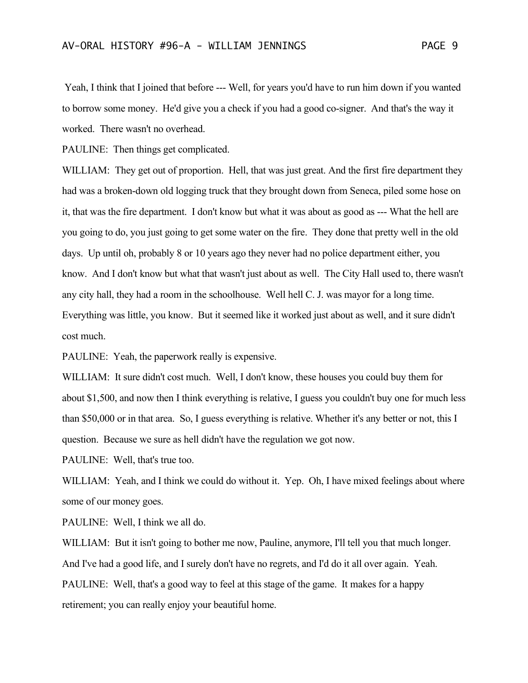Yeah, I think that I joined that before --- Well, for years you'd have to run him down if you wanted to borrow some money. He'd give you a check if you had a good co-signer. And that's the way it worked. There wasn't no overhead.

PAULINE: Then things get complicated.

WILLIAM: They get out of proportion. Hell, that was just great. And the first fire department they had was a broken-down old logging truck that they brought down from Seneca, piled some hose on it, that was the fire department. I don't know but what it was about as good as --- What the hell are you going to do, you just going to get some water on the fire. They done that pretty well in the old days. Up until oh, probably 8 or 10 years ago they never had no police department either, you know. And I don't know but what that wasn't just about as well. The City Hall used to, there wasn't any city hall, they had a room in the schoolhouse. Well hell C. J. was mayor for a long time. Everything was little, you know. But it seemed like it worked just about as well, and it sure didn't cost much.

PAULINE: Yeah, the paperwork really is expensive.

WILLIAM: It sure didn't cost much. Well, I don't know, these houses you could buy them for about \$1,500, and now then I think everything is relative, I guess you couldn't buy one for much less than \$50,000 or in that area. So, I guess everything is relative. Whether it's any better or not, this I question. Because we sure as hell didn't have the regulation we got now.

PAULINE: Well, that's true too.

WILLIAM: Yeah, and I think we could do without it. Yep. Oh, I have mixed feelings about where some of our money goes.

PAULINE: Well, I think we all do.

WILLIAM: But it isn't going to bother me now, Pauline, anymore, I'll tell you that much longer. And I've had a good life, and I surely don't have no regrets, and I'd do it all over again. Yeah. PAULINE: Well, that's a good way to feel at this stage of the game. It makes for a happy retirement; you can really enjoy your beautiful home.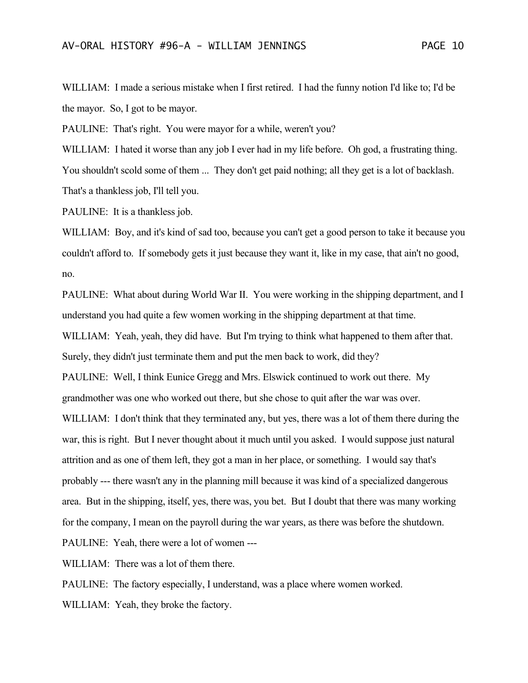WILLIAM: I made a serious mistake when I first retired. I had the funny notion I'd like to; I'd be the mayor. So, I got to be mayor.

PAULINE: That's right. You were mayor for a while, weren't you?

WILLIAM: I hated it worse than any job I ever had in my life before. Oh god, a frustrating thing. You shouldn't scold some of them ... They don't get paid nothing; all they get is a lot of backlash. That's a thankless job, I'll tell you.

PAULINE: It is a thankless job.

WILLIAM: Boy, and it's kind of sad too, because you can't get a good person to take it because you couldn't afford to. If somebody gets it just because they want it, like in my case, that ain't no good, no.

PAULINE: What about during World War II. You were working in the shipping department, and I understand you had quite a few women working in the shipping department at that time. WILLIAM: Yeah, yeah, they did have. But I'm trying to think what happened to them after that. Surely, they didn't just terminate them and put the men back to work, did they? PAULINE: Well, I think Eunice Gregg and Mrs. Elswick continued to work out there. My grandmother was one who worked out there, but she chose to quit after the war was over. WILLIAM: I don't think that they terminated any, but yes, there was a lot of them there during the war, this is right. But I never thought about it much until you asked. I would suppose just natural attrition and as one of them left, they got a man in her place, or something. I would say that's probably --- there wasn't any in the planning mill because it was kind of a specialized dangerous

area. But in the shipping, itself, yes, there was, you bet. But I doubt that there was many working

for the company, I mean on the payroll during the war years, as there was before the shutdown.

PAULINE: Yeah, there were a lot of women ---

WILLIAM: There was a lot of them there.

PAULINE: The factory especially, I understand, was a place where women worked.

WILLIAM: Yeah, they broke the factory.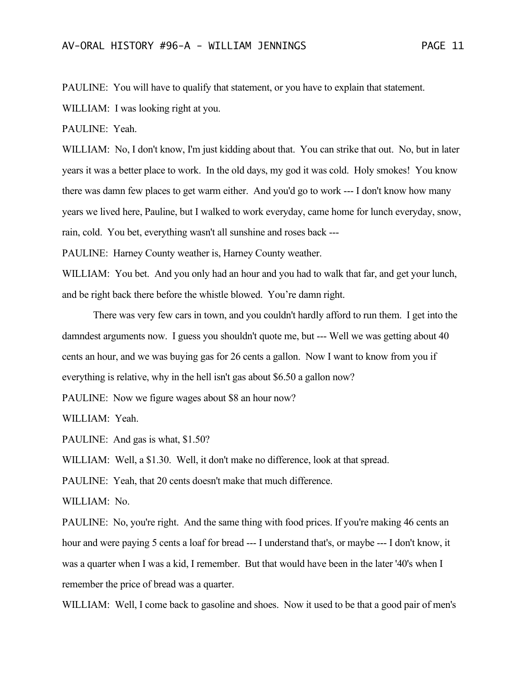PAULINE: You will have to qualify that statement, or you have to explain that statement.

WILLIAM: I was looking right at you.

PAULINE: Yeah.

WILLIAM: No, I don't know, I'm just kidding about that. You can strike that out. No, but in later years it was a better place to work. In the old days, my god it was cold. Holy smokes! You know there was damn few places to get warm either. And you'd go to work --- I don't know how many years we lived here, Pauline, but I walked to work everyday, came home for lunch everyday, snow, rain, cold. You bet, everything wasn't all sunshine and roses back ---

PAULINE: Harney County weather is, Harney County weather.

WILLIAM: You bet. And you only had an hour and you had to walk that far, and get your lunch, and be right back there before the whistle blowed. You're damn right.

There was very few cars in town, and you couldn't hardly afford to run them. I get into the damndest arguments now. I guess you shouldn't quote me, but --- Well we was getting about 40 cents an hour, and we was buying gas for 26 cents a gallon. Now I want to know from you if everything is relative, why in the hell isn't gas about \$6.50 a gallon now?

PAULINE: Now we figure wages about \$8 an hour now?

WILLIAM: Yeah.

PAULINE: And gas is what, \$1.50?

WILLIAM: Well, a \$1.30. Well, it don't make no difference, look at that spread.

PAULINE: Yeah, that 20 cents doesn't make that much difference.

WILLIAM: No.

PAULINE: No, you're right. And the same thing with food prices. If you're making 46 cents an hour and were paying 5 cents a loaf for bread --- I understand that's, or maybe --- I don't know, it was a quarter when I was a kid, I remember. But that would have been in the later '40's when I remember the price of bread was a quarter.

WILLIAM: Well, I come back to gasoline and shoes. Now it used to be that a good pair of men's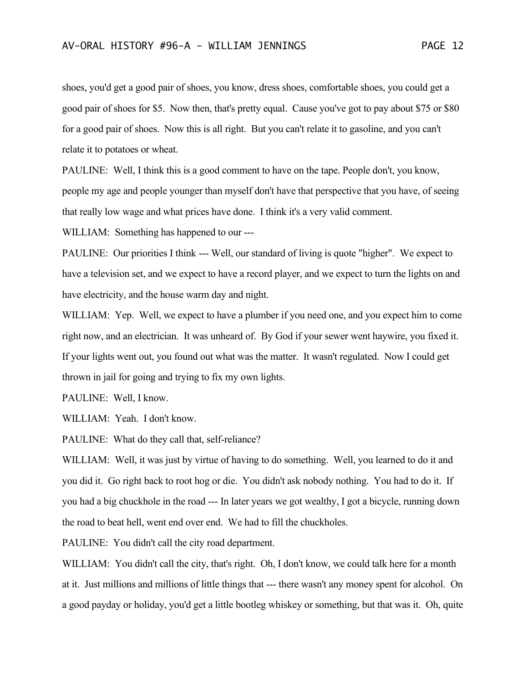shoes, you'd get a good pair of shoes, you know, dress shoes, comfortable shoes, you could get a good pair of shoes for \$5. Now then, that's pretty equal. Cause you've got to pay about \$75 or \$80 for a good pair of shoes. Now this is all right. But you can't relate it to gasoline, and you can't

relate it to potatoes or wheat.

PAULINE: Well, I think this is a good comment to have on the tape. People don't, you know, people my age and people younger than myself don't have that perspective that you have, of seeing that really low wage and what prices have done. I think it's a very valid comment.

WILLIAM: Something has happened to our ---

PAULINE: Our priorities I think --- Well, our standard of living is quote "higher". We expect to have a television set, and we expect to have a record player, and we expect to turn the lights on and have electricity, and the house warm day and night.

WILLIAM: Yep. Well, we expect to have a plumber if you need one, and you expect him to come right now, and an electrician. It was unheard of. By God if your sewer went haywire, you fixed it. If your lights went out, you found out what was the matter. It wasn't regulated. Now I could get thrown in jail for going and trying to fix my own lights.

PAULINE: Well, I know.

WILLIAM: Yeah. I don't know.

PAULINE: What do they call that, self-reliance?

WILLIAM: Well, it was just by virtue of having to do something. Well, you learned to do it and you did it. Go right back to root hog or die. You didn't ask nobody nothing. You had to do it. If you had a big chuckhole in the road --- In later years we got wealthy, I got a bicycle, running down the road to beat hell, went end over end. We had to fill the chuckholes.

PAULINE: You didn't call the city road department.

WILLIAM: You didn't call the city, that's right. Oh, I don't know, we could talk here for a month at it. Just millions and millions of little things that --- there wasn't any money spent for alcohol. On a good payday or holiday, you'd get a little bootleg whiskey or something, but that was it. Oh, quite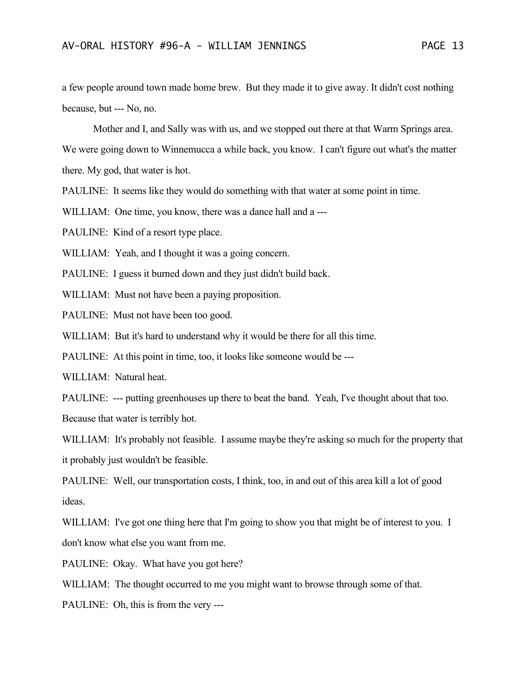a few people around town made home brew. But they made it to give away. It didn't cost nothing because, but --- No, no.

Mother and I, and Sally was with us, and we stopped out there at that Warm Springs area.

We were going down to Winnemucca a while back, you know. I can't figure out what's the matter there. My god, that water is hot.

PAULINE: It seems like they would do something with that water at some point in time.

WILLIAM: One time, you know, there was a dance hall and a ---

PAULINE: Kind of a resort type place.

WILLIAM: Yeah, and I thought it was a going concern.

PAULINE: I guess it burned down and they just didn't build back.

WILLIAM: Must not have been a paying proposition.

PAULINE: Must not have been too good.

WILLIAM: But it's hard to understand why it would be there for all this time.

PAULINE: At this point in time, too, it looks like someone would be ---

WILLIAM: Natural heat.

PAULINE: --- putting greenhouses up there to beat the band. Yeah, I've thought about that too.

Because that water is terribly hot.

WILLIAM: It's probably not feasible. I assume maybe they're asking so much for the property that it probably just wouldn't be feasible.

PAULINE: Well, our transportation costs, I think, too, in and out of this area kill a lot of good ideas.

WILLIAM: I've got one thing here that I'm going to show you that might be of interest to you. I don't know what else you want from me.

PAULINE: Okay. What have you got here?

WILLIAM: The thought occurred to me you might want to browse through some of that.

PAULINE: Oh, this is from the very ---